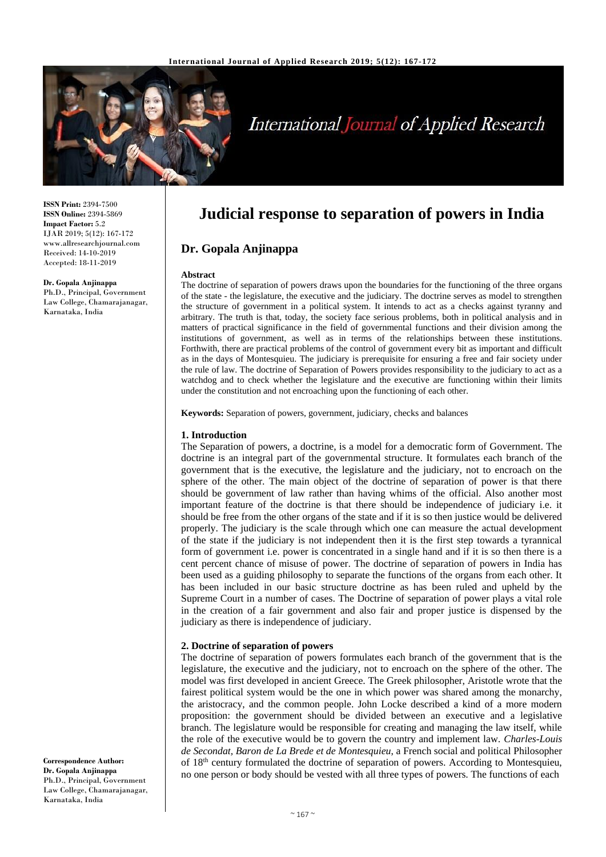

# **International Journal of Applied Research**

**ISSN Print:** 2394-7500 **ISSN Online:** 2394-5869 **Impact Factor:** 5.2 IJAR 2019; 5(12): 167-172 www.allresearchjournal.com Received: 14-10-2019 Accepted: 18-11-2019

**Dr. Gopala Anjinappa** Ph.D., Principal, Government Law College, Chamarajanagar, Karnataka, India

## **Judicial response to separation of powers in India**

### **Dr. Gopala Anjinappa**

#### **Abstract**

The doctrine of separation of powers draws upon the boundaries for the functioning of the three organs of the state - the legislature, the executive and the judiciary. The doctrine serves as model to strengthen the structure of government in a political system. It intends to act as a checks against tyranny and arbitrary. The truth is that, today, the society face serious problems, both in political analysis and in matters of practical significance in the field of governmental functions and their division among the institutions of government, as well as in terms of the relationships between these institutions. Forthwith, there are practical problems of the control of government every bit as important and difficult as in the days of Montesquieu. The judiciary is prerequisite for ensuring a free and fair society under the rule of law. The doctrine of Separation of Powers provides responsibility to the judiciary to act as a watchdog and to check whether the legislature and the executive are functioning within their limits under the constitution and not encroaching upon the functioning of each other.

**Keywords:** Separation of powers, government, judiciary, checks and balances

#### **1. Introduction**

The Separation of powers, a doctrine, is a model for a democratic form of Government. The doctrine is an integral part of the governmental structure. It formulates each branch of the government that is the executive, the legislature and the judiciary, not to encroach on the sphere of the other. The main object of the doctrine of separation of power is that there should be government of law rather than having whims of the official. Also another most important feature of the doctrine is that there should be independence of judiciary i.e. it should be free from the other organs of the state and if it is so then justice would be delivered properly. The judiciary is the scale through which one can measure the actual development of the state if the judiciary is not independent then it is the first step towards a tyrannical form of government i.e. power is concentrated in a single hand and if it is so then there is a cent percent chance of misuse of power. The doctrine of separation of powers in India has been used as a guiding philosophy to separate the functions of the organs from each other. It has been included in our basic structure doctrine as has been ruled and upheld by the Supreme Court in a number of cases. The Doctrine of separation of power plays a vital role in the creation of a fair government and also fair and proper justice is dispensed by the judiciary as there is independence of judiciary.

#### **2. Doctrine of separation of powers**

The doctrine of separation of powers formulates each branch of the government that is the legislature, the executive and the judiciary, not to encroach on the sphere of the other. The model was first developed in ancient Greece. The Greek philosopher, Aristotle wrote that the fairest political system would be the one in which power was shared among the monarchy, the aristocracy, and the common people. John Locke described a kind of a more modern proposition: the government should be divided between an executive and a legislative branch. The legislature would be responsible for creating and managing the law itself, while the role of the executive would be to govern the country and implement law. *Charles-Louis de Secondat, Baron de La Brede et de Montesquieu*, a French social and political Philosopher of 18th century formulated the doctrine of separation of powers. According to Montesquieu, no one person or body should be vested with all three types of powers. The functions of each

**Correspondence Author: Dr. Gopala Anjinappa** Ph.D., Principal, Government Law College, Chamarajanagar, Karnataka, India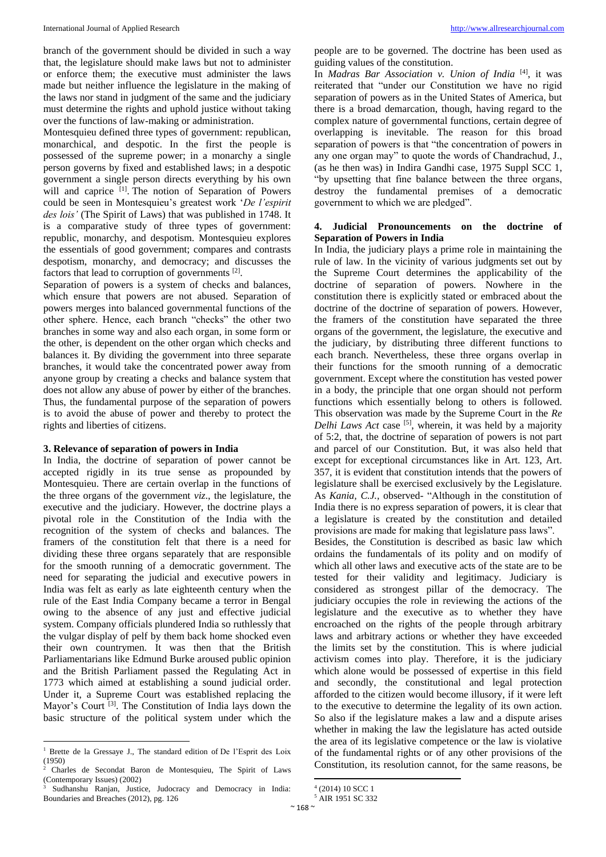branch of the government should be divided in such a way that, the legislature should make laws but not to administer or enforce them; the executive must administer the laws made but neither influence the legislature in the making of the laws nor stand in judgment of the same and the judiciary must determine the rights and uphold justice without taking over the functions of law-making or administration.

Montesquieu defined three types of government: republican, monarchical, and despotic. In the first the people is possessed of the supreme power; in a monarchy a single person governs by fixed and established laws; in a despotic government a single person directs everything by his own will and caprice <sup>[1]</sup>. The notion of Separation of Powers could be seen in Montesquieu's greatest work '*De l'espirit des lois'* (The Spirit of Laws) that was published in 1748. It is a comparative study of three types of government: republic, monarchy, and despotism. Montesquieu explores the essentials of good government; compares and contrasts despotism, monarchy, and democracy; and discusses the factors that lead to corruption of governments<sup>[2]</sup>.

Separation of powers is a system of checks and balances, which ensure that powers are not abused. Separation of powers merges into balanced governmental functions of the other sphere. Hence, each branch "checks" the other two branches in some way and also each organ, in some form or the other, is dependent on the other organ which checks and balances it. By dividing the government into three separate branches, it would take the concentrated power away from anyone group by creating a checks and balance system that does not allow any abuse of power by either of the branches. Thus, the fundamental purpose of the separation of powers is to avoid the abuse of power and thereby to protect the rights and liberties of citizens.

#### **3. Relevance of separation of powers in India**

In India, the doctrine of separation of power cannot be accepted rigidly in its true sense as propounded by Montesquieu. There are certain overlap in the functions of the three organs of the government *viz*., the legislature, the executive and the judiciary. However, the doctrine plays a pivotal role in the Constitution of the India with the recognition of the system of checks and balances. The framers of the constitution felt that there is a need for dividing these three organs separately that are responsible for the smooth running of a democratic government. The need for separating the judicial and executive powers in India was felt as early as late eighteenth century when the rule of the East India Company became a terror in Bengal owing to the absence of any just and effective judicial system. Company officials plundered India so ruthlessly that the vulgar display of pelf by them back home shocked even their own countrymen. It was then that the British Parliamentarians like Edmund Burke aroused public opinion and the British Parliament passed the Regulating Act in 1773 which aimed at establishing a sound judicial order. Under it, a Supreme Court was established replacing the Mayor's Court<sup>[3]</sup>. The Constitution of India lays down the basic structure of the political system under which the

 $\overline{\phantom{a}}$ 

people are to be governed. The doctrine has been used as guiding values of the constitution.

In *Madras Bar Association v. Union of India* [4], it was reiterated that "under our Constitution we have no rigid separation of powers as in the United States of America, but there is a broad demarcation, though, having regard to the complex nature of governmental functions, certain degree of overlapping is inevitable. The reason for this broad separation of powers is that "the concentration of powers in any one organ may" to quote the words of Chandrachud, J., (as he then was) in Indira Gandhi case, 1975 Suppl SCC 1, "by upsetting that fine balance between the three organs, destroy the fundamental premises of a democratic government to which we are pledged".

#### **4. Judicial Pronouncements on the doctrine of Separation of Powers in India**

In India, the judiciary plays a prime role in maintaining the rule of law. In the vicinity of various judgments set out by the Supreme Court determines the applicability of the doctrine of separation of powers. Nowhere in the constitution there is explicitly stated or embraced about the doctrine of the doctrine of separation of powers. However, the framers of the constitution have separated the three organs of the government, the legislature, the executive and the judiciary, by distributing three different functions to each branch. Nevertheless, these three organs overlap in their functions for the smooth running of a democratic government. Except where the constitution has vested power in a body, the principle that one organ should not perform functions which essentially belong to others is followed. This observation was made by the Supreme Court in the *Re*  Delhi Laws Act case <sup>[5]</sup>, wherein, it was held by a majority of 5:2, that, the doctrine of separation of powers is not part and parcel of our Constitution. But, it was also held that except for exceptional circumstances like in Art. 123, Art. 357, it is evident that constitution intends that the powers of legislature shall be exercised exclusively by the Legislature. As *Kania, C.J.,* observed- "Although in the constitution of India there is no express separation of powers, it is clear that a legislature is created by the constitution and detailed provisions are made for making that legislature pass laws". Besides, the Constitution is described as basic law which ordains the fundamentals of its polity and on modify of which all other laws and executive acts of the state are to be tested for their validity and legitimacy. Judiciary is considered as strongest pillar of the democracy. The judiciary occupies the role in reviewing the actions of the legislature and the executive as to whether they have encroached on the rights of the people through arbitrary laws and arbitrary actions or whether they have exceeded the limits set by the constitution. This is where judicial activism comes into play. Therefore, it is the judiciary which alone would be possessed of expertise in this field and secondly, the constitutional and legal protection afforded to the citizen would become illusory, if it were left to the executive to determine the legality of its own action. So also if the legislature makes a law and a dispute arises whether in making the law the legislature has acted outside the area of its legislative competence or the law is violative of the fundamental rights or of any other provisions of the Constitution, its resolution cannot, for the same reasons, be

<sup>1</sup> Brette de la Gressaye J., The standard edition of De l'Esprit des Loix  $(1950)$ 

<sup>2</sup> Charles de Secondat Baron de Montesquieu, The Spirit of Laws (Contemporary Issues) (2002)

<sup>3</sup> Sudhanshu Ranjan, Justice, Judocracy and Democracy in India: Boundaries and Breaches (2012), pg. 126

<sup>1</sup> 4 (2014) 10 SCC 1

<sup>&</sup>lt;sup>5</sup> AIR 1951 SC 332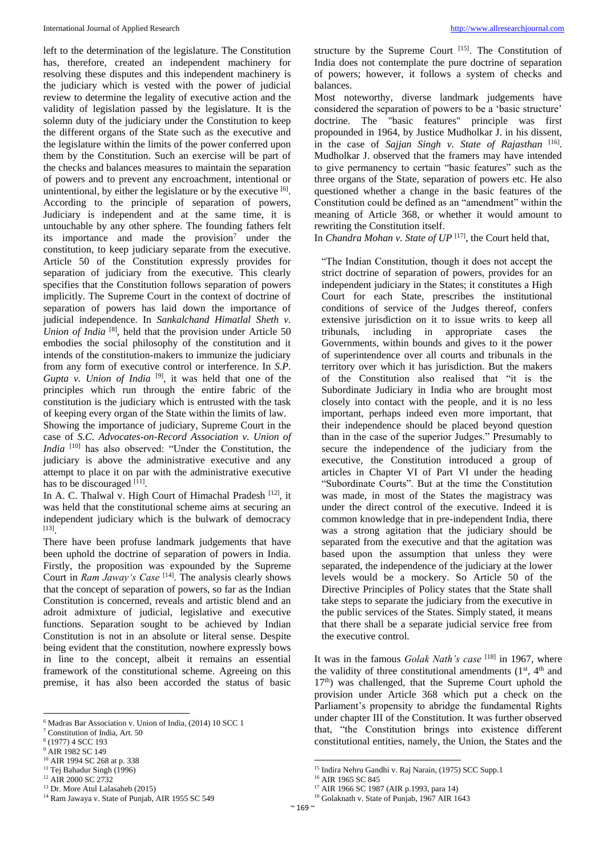left to the determination of the legislature. The Constitution has, therefore, created an independent machinery for resolving these disputes and this independent machinery is the judiciary which is vested with the power of judicial review to determine the legality of executive action and the validity of legislation passed by the legislature. It is the solemn duty of the judiciary under the Constitution to keep the different organs of the State such as the executive and the legislature within the limits of the power conferred upon them by the Constitution. Such an exercise will be part of the checks and balances measures to maintain the separation of powers and to prevent any encroachment, intentional or unintentional, by either the legislature or by the executive [6]. According to the principle of separation of powers, Judiciary is independent and at the same time, it is untouchable by any other sphere. The founding fathers felt its importance and made the provision<sup>7</sup> under the constitution, to keep judiciary separate from the executive. Article 50 of the Constitution expressly provides for separation of judiciary from the executive. This clearly specifies that the Constitution follows separation of powers implicitly. The Supreme Court in the context of doctrine of separation of powers has laid down the importance of judicial independence. In *Sankalchand Himatlal Sheth v.*  Union of India<sup>[8]</sup>, held that the provision under Article 50 embodies the social philosophy of the constitution and it intends of the constitution-makers to immunize the judiciary from any form of executive control or interference. In *S.P.*  Gupta v. Union of India<sup>[9]</sup>, it was held that one of the principles which run through the entire fabric of the constitution is the judiciary which is entrusted with the task of keeping every organ of the State within the limits of law.

Showing the importance of judiciary, Supreme Court in the case of *S.C. Advocates-on-Record Association v. Union of India* <sup>[10]</sup> has also observed: "Under the Constitution, the judiciary is above the administrative executive and any attempt to place it on par with the administrative executive has to be discouraged [11].

In A. C. Thalwal v. High Court of Himachal Pradesh<sup>[12]</sup>, it was held that the constitutional scheme aims at securing an independent judiciary which is the bulwark of democracy [13] .

There have been profuse landmark judgements that have been uphold the doctrine of separation of powers in India. Firstly, the proposition was expounded by the Supreme Court in *Ram Jaway's Case*<sup>[14]</sup>. The analysis clearly shows that the concept of separation of powers, so far as the Indian Constitution is concerned, reveals and artistic blend and an adroit admixture of judicial, legislative and executive functions. Separation sought to be achieved by Indian Constitution is not in an absolute or literal sense. Despite being evident that the constitution, nowhere expressly bows in line to the concept, albeit it remains an essential framework of the constitutional scheme. Agreeing on this premise, it has also been accorded the status of basic

 $\overline{\phantom{a}}$ 

structure by the Supreme Court [15]. The Constitution of India does not contemplate the pure doctrine of separation of powers; however, it follows a system of checks and balances.

Most noteworthy, diverse landmark judgements have considered the separation of powers to be a 'basic structure' doctrine. The "basic features" principle was first propounded in 1964, by Justice Mudholkar J. in his dissent, in the case of *Sajjan Singh v. State of Rajasthan* [16]. Mudholkar J. observed that the framers may have intended to give permanency to certain "basic features" such as the three organs of the State, separation of powers etc. He also questioned whether a change in the basic features of the Constitution could be defined as an "amendment" within the meaning of Article 368, or whether it would amount to rewriting the Constitution itself.

In *Chandra Mohan v. State of UP*<sup>[17]</sup>, the Court held that,

"The Indian Constitution, though it does not accept the strict doctrine of separation of powers, provides for an independent judiciary in the States; it constitutes a High Court for each State, prescribes the institutional conditions of service of the Judges thereof, confers extensive jurisdiction on it to issue writs to keep all tribunals, including in appropriate cases the Governments, within bounds and gives to it the power of superintendence over all courts and tribunals in the territory over which it has jurisdiction. But the makers of the Constitution also realised that "it is the Subordinate Judiciary in India who are brought most closely into contact with the people, and it is no less important, perhaps indeed even more important, that their independence should be placed beyond question than in the case of the superior Judges." Presumably to secure the independence of the judiciary from the executive, the Constitution introduced a group of articles in Chapter VI of Part VI under the heading "Subordinate Courts". But at the time the Constitution was made, in most of the States the magistracy was under the direct control of the executive. Indeed it is common knowledge that in pre-independent India, there was a strong agitation that the judiciary should be separated from the executive and that the agitation was based upon the assumption that unless they were separated, the independence of the judiciary at the lower levels would be a mockery. So Article 50 of the Directive Principles of Policy states that the State shall take steps to separate the judiciary from the executive in the public services of the States. Simply stated, it means that there shall be a separate judicial service free from the executive control.

It was in the famous *Golak Nath's case* [18] in 1967, where the validity of three constitutional amendments  $(1<sup>st</sup>, 4<sup>th</sup>$  and  $17<sup>th</sup>$ ) was challenged, that the Supreme Court uphold the provision under Article 368 which put a check on the Parliament's propensity to abridge the fundamental Rights under chapter III of the Constitution. It was further observed that, "the Constitution brings into existence different constitutional entities, namely, the Union, the States and the

1

 $6$  Madras Bar Association v. Union of India, (2014) 10 SCC 1

<sup>7</sup> Constitution of India, Art. 50

<sup>8</sup> (1977) 4 SCC 193

<sup>&</sup>lt;sup>9</sup> AIR 1982 SC 149

<sup>10</sup> AIR 1994 SC 268 at p. 338

<sup>&</sup>lt;sup>11</sup> Tej Bahadur Singh (1996) <sup>12</sup> AIR 2000 SC 2732

<sup>13</sup> Dr. More Atul Lalasaheb (2015)

<sup>&</sup>lt;sup>14</sup> Ram Jawaya v. State of Punjab, AIR 1955 SC 549

<sup>&</sup>lt;sup>15</sup> Indira Nehru Gandhi v. Raj Narain, (1975) SCC Supp.1

<sup>&</sup>lt;sup>16</sup> AIR 1965 SC 845

<sup>17</sup> AIR 1966 SC 1987 (AIR p.1993, para 14)

<sup>18</sup> Golaknath v. State of Punjab, 1967 AIR 1643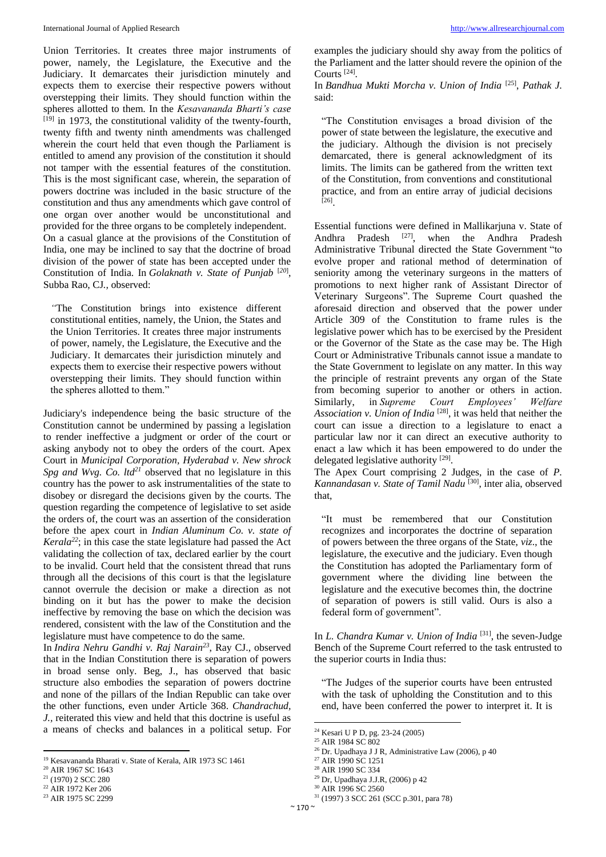Union Territories. It creates three major instruments of power, namely, the Legislature, the Executive and the Judiciary. It demarcates their jurisdiction minutely and expects them to exercise their respective powers without overstepping their limits. They should function within the spheres allotted to them. In the *Kesavananda Bharti's case* [19] in 1973, the constitutional validity of the twenty-fourth, twenty fifth and twenty ninth amendments was challenged wherein the court held that even though the Parliament is entitled to amend any provision of the constitution it should not tamper with the essential features of the constitution. This is the most significant case, wherein, the separation of powers doctrine was included in the basic structure of the constitution and thus any amendments which gave control of one organ over another would be unconstitutional and provided for the three organs to be completely independent. On a casual glance at the provisions of the Constitution of India, one may be inclined to say that the doctrine of broad division of the power of state has been accepted under the Constitution of India. In *Golaknath v. State of Punjab* [*20*] , Subba Rao, CJ*.,* observed:

*"*The Constitution brings into existence different constitutional entities, namely, the Union, the States and the Union Territories. It creates three major instruments of power, namely, the Legislature, the Executive and the Judiciary. It demarcates their jurisdiction minutely and expects them to exercise their respective powers without overstepping their limits. They should function within the spheres allotted to them."

Judiciary's independence being the basic structure of the Constitution cannot be undermined by passing a legislation to render ineffective a judgment or order of the court or asking anybody not to obey the orders of the court. Apex Court in *Municipal Corporation, Hyderabad v. New shrock Spg and Wvg. Co. ltd<sup>21</sup>* observed that no legislature in this country has the power to ask instrumentalities of the state to disobey or disregard the decisions given by the courts. The question regarding the competence of legislative to set aside the orders of, the court was an assertion of the consideration before the apex court in *Indian Aluminum Co. v. state of Kerala<sup>22</sup>*; in this case the state legislature had passed the Act validating the collection of tax, declared earlier by the court to be invalid. Court held that the consistent thread that runs through all the decisions of this court is that the legislature cannot overrule the decision or make a direction as not binding on it but has the power to make the decision ineffective by removing the base on which the decision was rendered, consistent with the law of the Constitution and the legislature must have competence to do the same.

In *Indira Nehru Gandhi v. Raj Narain<sup>23</sup>*, Ray CJ., observed that in the Indian Constitution there is separation of powers in broad sense only. Beg, J., has observed that basic structure also embodies the separation of powers doctrine and none of the pillars of the Indian Republic can take over the other functions, even under Article 368. *Chandrachud, J.,* reiterated this view and held that this doctrine is useful as a means of checks and balances in a political setup. For

 $\overline{a}$ 

examples the judiciary should shy away from the politics of the Parliament and the latter should revere the opinion of the Courts [24] .

In *Bandhua Mukti Morcha v. Union of India* [25] , *Pathak J.* said:

"The Constitution envisages a broad division of the power of state between the legislature, the executive and the judiciary. Although the division is not precisely demarcated, there is general acknowledgment of its limits. The limits can be gathered from the written text of the Constitution, from conventions and constitutional practice, and from an entire array of judicial decisions [26] .

Essential functions were defined in Mallikarjuna v. State of Andhra Pradesh <sup>[27]</sup>, when the Andhra Pradesh Administrative Tribunal directed the State Government "to evolve proper and rational method of determination of seniority among the veterinary surgeons in the matters of promotions to next higher rank of Assistant Director of Veterinary Surgeons". The Supreme Court quashed the aforesaid direction and observed that the power under Article 309 of the Constitution to frame rules is the legislative power which has to be exercised by the President or the Governor of the State as the case may be. The High Court or Administrative Tribunals cannot issue a mandate to the State Government to legislate on any matter. In this way the principle of restraint prevents any organ of the State from becoming superior to another or others in action. Similarly, in *Supreme Court Employees' Welfare*  Association v. Union of India<sup>[28]</sup>, it was held that neither the court can issue a direction to a legislature to enact a particular law nor it can direct an executive authority to enact a law which it has been empowered to do under the delegated legislative authority<sup>[29]</sup>.

The Apex Court comprising 2 Judges, in the case of *P.*  Kannandasan v. State of Tamil Nadu<sup>[30]</sup>, inter alia, observed that,

"It must be remembered that our Constitution recognizes and incorporates the doctrine of separation of powers between the three organs of the State, *viz*., the legislature, the executive and the judiciary. Even though the Constitution has adopted the Parliamentary form of government where the dividing line between the legislature and the executive becomes thin, the doctrine of separation of powers is still valid. Ours is also a federal form of government".

In *L. Chandra Kumar v. Union of India* <sup>[31]</sup>, the seven-Judge Bench of the Supreme Court referred to the task entrusted to the superior courts in India thus:

"The Judges of the superior courts have been entrusted with the task of upholding the Constitution and to this end, have been conferred the power to interpret it. It is

1

<sup>&</sup>lt;sup>19</sup> Kesavananda Bharati v. State of Kerala, AIR 1973 SC 1461

<sup>&</sup>lt;sup>20</sup> AIR 1967 SC 1643

 $21$  (1970) 2 SCC 280 <sup>22</sup> AIR 1972 Ker 206

<sup>23</sup> AIR 1975 SC 2299

<sup>24</sup> Kesari U P D, pg. 23-24 (2005)

<sup>&</sup>lt;sup>25</sup> AIR 1984 SC 802

<sup>26</sup> Dr. Upadhaya J J R, Administrative Law (2006), p 40

<sup>&</sup>lt;sup>27</sup> AIR 1990 SC 1251

<sup>28</sup> AIR 1990 SC 334

<sup>29</sup> Dr, Upadhaya J.J.R, (2006) p 42

<sup>30</sup> AIR 1996 SC 2560

<sup>31</sup> (1997) 3 SCC 261 (SCC p.301, para 78)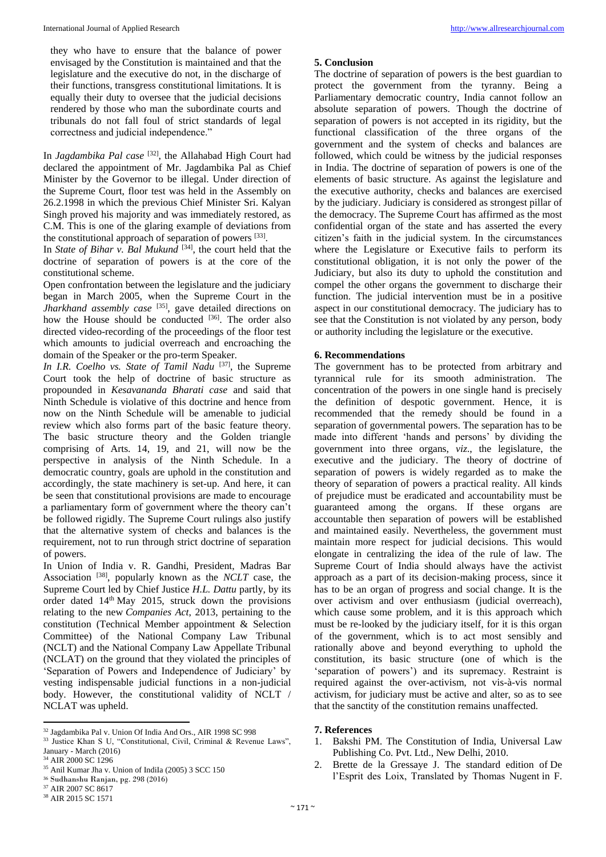they who have to ensure that the balance of power envisaged by the Constitution is maintained and that the legislature and the executive do not, in the discharge of their functions, transgress constitutional limitations. It is equally their duty to oversee that the judicial decisions rendered by those who man the subordinate courts and tribunals do not fall foul of strict standards of legal correctness and judicial independence."

In *Jagdambika Pal case* [32] , the Allahabad High Court had declared the appointment of Mr. Jagdambika Pal as Chief Minister by the Governor to be illegal. Under direction of the Supreme Court, floor test was held in the Assembly on 26.2.1998 in which the previous Chief Minister Sri. Kalyan Singh proved his majority and was immediately restored, as C.M. This is one of the glaring example of deviations from the constitutional approach of separation of powers [33].

In *State of Bihar v. Bal Mukund*<sup>[34]</sup>, the court held that the doctrine of separation of powers is at the core of the constitutional scheme.

Open confrontation between the legislature and the judiciary began in March 2005, when the Supreme Court in the *Jharkhand assembly case* [35] , gave detailed directions on how the House should be conducted <sup>[36]</sup>. The order also directed video-recording of the proceedings of the floor test which amounts to judicial overreach and encroaching the domain of the Speaker or the pro-term Speaker.

In I.R. Coelho vs. State of Tamil Nadu<sup>[37]</sup>, the Supreme Court took the help of doctrine of basic structure as propounded in *Kesavananda Bharati case* and said that Ninth Schedule is violative of this doctrine and hence from now on the Ninth Schedule will be amenable to judicial review which also forms part of the basic feature theory. The basic structure theory and the Golden triangle comprising of Arts. 14, 19, and 21, will now be the perspective in analysis of the Ninth Schedule. In a democratic country, goals are uphold in the constitution and accordingly, the state machinery is set-up. And here, it can be seen that constitutional provisions are made to encourage a parliamentary form of government where the theory can't be followed rigidly. The Supreme Court rulings also justify that the alternative system of checks and balances is the requirement, not to run through strict doctrine of separation of powers.

In Union of India v. R. Gandhi, President, Madras Bar Association [38] , popularly known as the *NCLT* case, the Supreme Court led by Chief Justice *H.L. Dattu* partly, by its order dated 14th May 2015, struck down the provisions relating to the new *Companies Act*, 2013, pertaining to the constitution (Technical Member appointment & Selection Committee) of the National Company Law Tribunal (NCLT) and the National Company Law Appellate Tribunal (NCLAT) on the ground that they violated the principles of 'Separation of Powers and Independence of Judiciary' by vesting indispensable judicial functions in a non-judicial body. However, the constitutional validity of NCLT / NCLAT was upheld.

#### **5. Conclusion**

The doctrine of separation of powers is the best guardian to protect the government from the tyranny. Being a Parliamentary democratic country, India cannot follow an absolute separation of powers. Though the doctrine of separation of powers is not accepted in its rigidity, but the functional classification of the three organs of the government and the system of checks and balances are followed, which could be witness by the judicial responses in India. The doctrine of separation of powers is one of the elements of basic structure. As against the legislature and the executive authority, checks and balances are exercised by the judiciary. Judiciary is considered as strongest pillar of the democracy. The Supreme Court has affirmed as the most confidential organ of the state and has asserted the every citizen's faith in the judicial system. In the circumstances where the Legislature or Executive fails to perform its constitutional obligation, it is not only the power of the Judiciary, but also its duty to uphold the constitution and compel the other organs the government to discharge their function. The judicial intervention must be in a positive aspect in our constitutional democracy. The judiciary has to see that the Constitution is not violated by any person, body or authority including the legislature or the executive.

#### **6. Recommendations**

The government has to be protected from arbitrary and tyrannical rule for its smooth administration. The concentration of the powers in one single hand is precisely the definition of despotic government. Hence, it is recommended that the remedy should be found in a separation of governmental powers. The separation has to be made into different 'hands and persons' by dividing the government into three organs, *viz*., the legislature, the executive and the judiciary. The theory of doctrine of separation of powers is widely regarded as to make the theory of separation of powers a practical reality. All kinds of prejudice must be eradicated and accountability must be guaranteed among the organs. If these organs are accountable then separation of powers will be established and maintained easily. Nevertheless, the government must maintain more respect for judicial decisions. This would elongate in centralizing the idea of the rule of law. The Supreme Court of India should always have the activist approach as a part of its decision-making process, since it has to be an organ of progress and social change. It is the over activism and over enthusiasm (judicial overreach), which cause some problem, and it is this approach which must be re-looked by the judiciary itself, for it is this organ of the government, which is to act most sensibly and rationally above and beyond everything to uphold the constitution, its basic structure (one of which is the 'separation of powers') and its supremacy. Restraint is required against the over-activism, not vis-à-vis normal activism, for judiciary must be active and alter, so as to see that the sanctity of the constitution remains unaffected.

#### **7. References**

- 1. Bakshi PM. The Constitution of India, Universal Law Publishing Co. Pvt. Ltd., New Delhi, 2010.
- 2. Brette de la Gressaye J. The standard edition of De l'Esprit des Loix, Translated by Thomas Nugent in F.

 $\overline{\phantom{a}}$ <sup>32</sup> Jagdambika Pal v. Union Of India And Ors., AIR 1998 SC 998

<sup>&</sup>lt;sup>33</sup> Justice Khan S U, "Constitutional, Civil, Criminal & Revenue Laws", January - March (2016)

<sup>34</sup> AIR 2000 SC 1296

 $35$  Anil Kumar Jha v. Union of IndiIa (2005) 3 SCC 150

<sup>36</sup> Sudhanshu Ranjan, pg. 298 (2016)

<sup>37</sup> AIR 2007 SC 8617

<sup>38</sup> AIR 2015 SC 1571